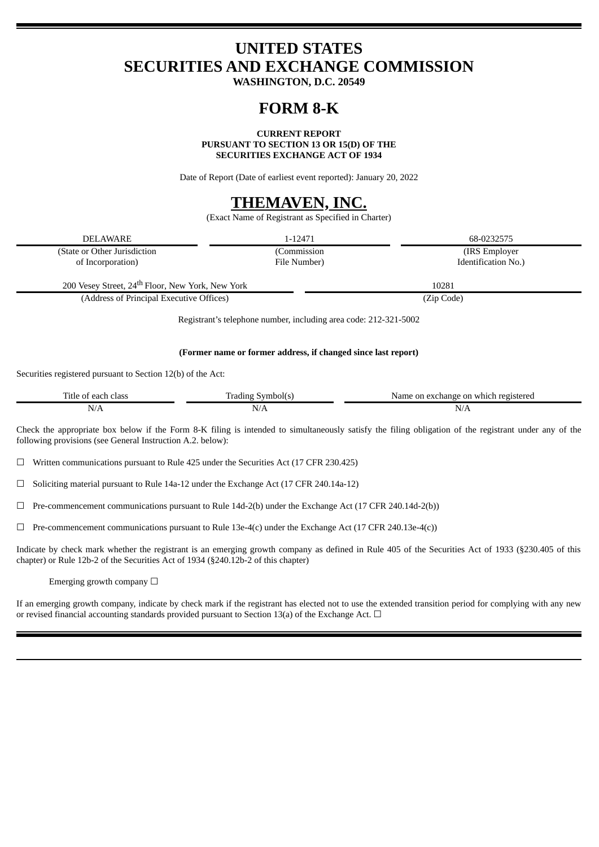# **UNITED STATES SECURITIES AND EXCHANGE COMMISSION**

**WASHINGTON, D.C. 20549**

## **FORM 8-K**

**CURRENT REPORT**

**PURSUANT TO SECTION 13 OR 15(D) OF THE**

**SECURITIES EXCHANGE ACT OF 1934**

Date of Report (Date of earliest event reported): January 20, 2022

## **THEMAVEN, INC.**

(Exact Name of Registrant as Specified in Charter)

| DELAWARE                                                         | 1-12471      | 68-0232575          |  |  |
|------------------------------------------------------------------|--------------|---------------------|--|--|
| (State or Other Jurisdiction                                     | (Commission  | (IRS Employer)      |  |  |
| of Incorporation)                                                | File Number) | Identification No.) |  |  |
| 200 Vesey Street, 24 <sup>th</sup> Floor, New York, New York     |              | 10281               |  |  |
| (Address of Principal Executive Offices)                         |              | (Zip Code)          |  |  |
| Registrant's telephone number, including area code: 212-321-5002 |              |                     |  |  |

### **(Former name or former address, if changed since last report)**

Securities registered pursuant to Section 12(b) of the Act:

| 11tle<br>class    | <b>dino</b><br>anbol(s).               | registerer<br>which<br>' or<br>rchange J<br>Name<br>on |
|-------------------|----------------------------------------|--------------------------------------------------------|
| N.<br>$\sqrt{11}$ | - - -<br>NL.<br>$'$ $'$ $'$ $L$ $\sim$ | N/F                                                    |

Check the appropriate box below if the Form 8-K filing is intended to simultaneously satisfy the filing obligation of the registrant under any of the following provisions (see General Instruction A.2. below):

☐ Written communications pursuant to Rule 425 under the Securities Act (17 CFR 230.425)

☐ Soliciting material pursuant to Rule 14a-12 under the Exchange Act (17 CFR 240.14a-12)

☐ Pre-commencement communications pursuant to Rule 14d-2(b) under the Exchange Act (17 CFR 240.14d-2(b))

 $\Box$  Pre-commencement communications pursuant to Rule 13e-4(c) under the Exchange Act (17 CFR 240.13e-4(c))

Indicate by check mark whether the registrant is an emerging growth company as defined in Rule 405 of the Securities Act of 1933 (§230.405 of this chapter) or Rule 12b-2 of the Securities Act of 1934 (§240.12b-2 of this chapter)

Emerging growth company  $\Box$ 

If an emerging growth company, indicate by check mark if the registrant has elected not to use the extended transition period for complying with any new or revised financial accounting standards provided pursuant to Section 13(a) of the Exchange Act.  $\Box$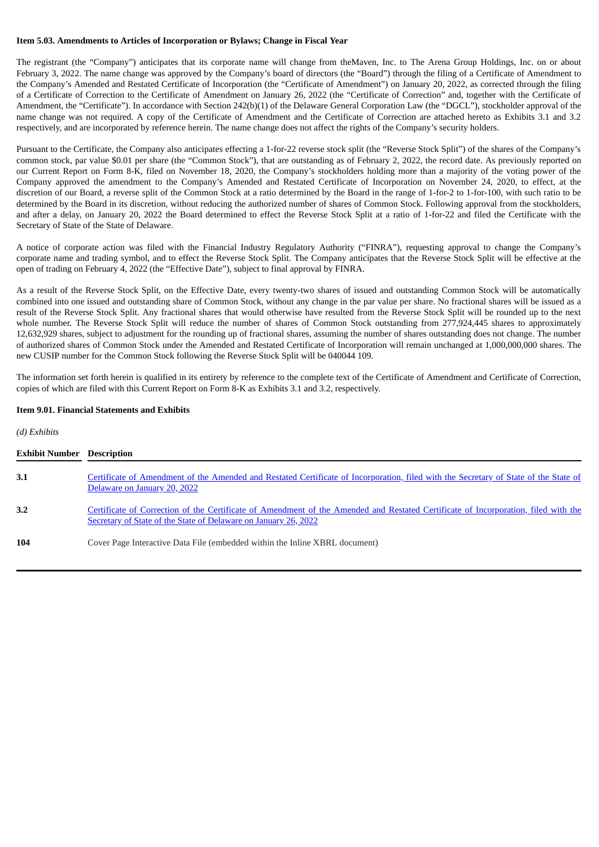## **Item 5.03. Amendments to Articles of Incorporation or Bylaws; Change in Fiscal Year**

The registrant (the "Company") anticipates that its corporate name will change from theMaven, Inc. to The Arena Group Holdings, Inc. on or about February 3, 2022. The name change was approved by the Company's board of directors (the "Board") through the filing of a Certificate of Amendment to the Company's Amended and Restated Certificate of Incorporation (the "Certificate of Amendment") on January 20, 2022, as corrected through the filing of a Certificate of Correction to the Certificate of Amendment on January 26, 2022 (the "Certificate of Correction" and, together with the Certificate of Amendment, the "Certificate"). In accordance with Section 242(b)(1) of the Delaware General Corporation Law (the "DGCL"), stockholder approval of the name change was not required. A copy of the Certificate of Amendment and the Certificate of Correction are attached hereto as Exhibits 3.1 and 3.2 respectively, and are incorporated by reference herein. The name change does not affect the rights of the Company's security holders.

Pursuant to the Certificate, the Company also anticipates effecting a 1-for-22 reverse stock split (the "Reverse Stock Split") of the shares of the Company's common stock, par value \$0.01 per share (the "Common Stock"), that are outstanding as of February 2, 2022, the record date. As previously reported on our Current Report on Form 8-K, filed on November 18, 2020, the Company's stockholders holding more than a majority of the voting power of the Company approved the amendment to the Company's Amended and Restated Certificate of Incorporation on November 24, 2020, to effect, at the discretion of our Board, a reverse split of the Common Stock at a ratio determined by the Board in the range of 1-for-2 to 1-for-100, with such ratio to be determined by the Board in its discretion, without reducing the authorized number of shares of Common Stock. Following approval from the stockholders, and after a delay, on January 20, 2022 the Board determined to effect the Reverse Stock Split at a ratio of 1-for-22 and filed the Certificate with the Secretary of State of the State of Delaware.

A notice of corporate action was filed with the Financial Industry Regulatory Authority ("FINRA"), requesting approval to change the Company's corporate name and trading symbol, and to effect the Reverse Stock Split. The Company anticipates that the Reverse Stock Split will be effective at the open of trading on February 4, 2022 (the "Effective Date"), subject to final approval by FINRA.

As a result of the Reverse Stock Split, on the Effective Date, every twenty-two shares of issued and outstanding Common Stock will be automatically combined into one issued and outstanding share of Common Stock, without any change in the par value per share. No fractional shares will be issued as a result of the Reverse Stock Split. Any fractional shares that would otherwise have resulted from the Reverse Stock Split will be rounded up to the next whole number. The Reverse Stock Split will reduce the number of shares of Common Stock outstanding from 277,924,445 shares to approximately 12,632,929 shares, subject to adjustment for the rounding up of fractional shares, assuming the number of shares outstanding does not change. The number of authorized shares of Common Stock under the Amended and Restated Certificate of Incorporation will remain unchanged at 1,000,000,000 shares. The new CUSIP number for the Common Stock following the Reverse Stock Split will be 040044 109.

The information set forth herein is qualified in its entirety by reference to the complete text of the Certificate of Amendment and Certificate of Correction, copies of which are filed with this Current Report on Form 8-K as Exhibits 3.1 and 3.2, respectively.

## **Item 9.01. Financial Statements and Exhibits**

*(d) Exhibits*

| <b>Exhibit Number Description</b> |                                                                                                                                                                                                       |
|-----------------------------------|-------------------------------------------------------------------------------------------------------------------------------------------------------------------------------------------------------|
| 3.1                               | Certificate of Amendment of the Amended and Restated Certificate of Incorporation, filed with the Secretary of State of the State of<br>Delaware on January 20, 2022                                  |
| 3.2                               | Certificate of Correction of the Certificate of Amendment of the Amended and Restated Certificate of Incorporation, filed with the<br>Secretary of State of the State of Delaware on January 26, 2022 |
| 104                               | Cover Page Interactive Data File (embedded within the Inline XBRL document)                                                                                                                           |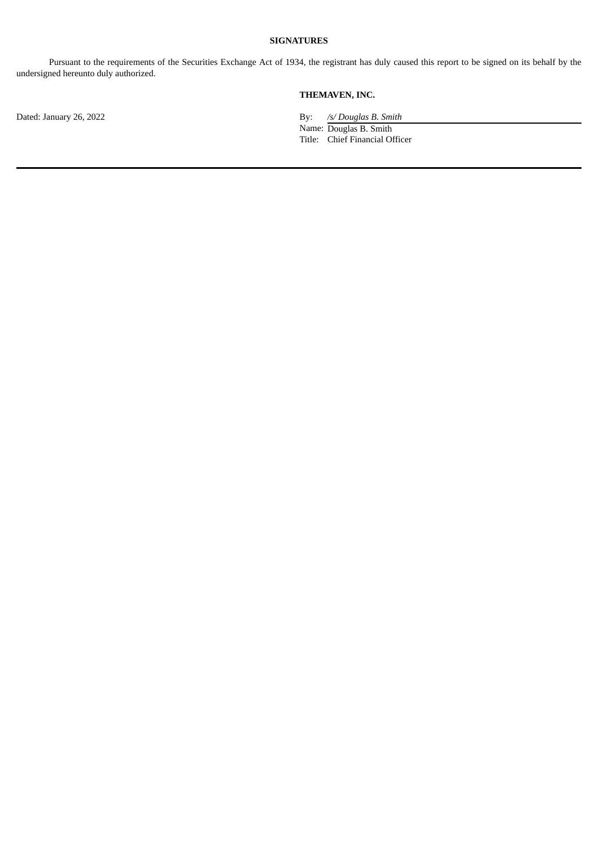## **SIGNATURES**

Pursuant to the requirements of the Securities Exchange Act of 1934, the registrant has duly caused this report to be signed on its behalf by the undersigned hereunto duly authorized.

## **THEMAVEN, INC.**

Dated: January 26, 2022 By: */s/ Douglas B. Smith* 

Name: Douglas B. Smith Title: Chief Financial Officer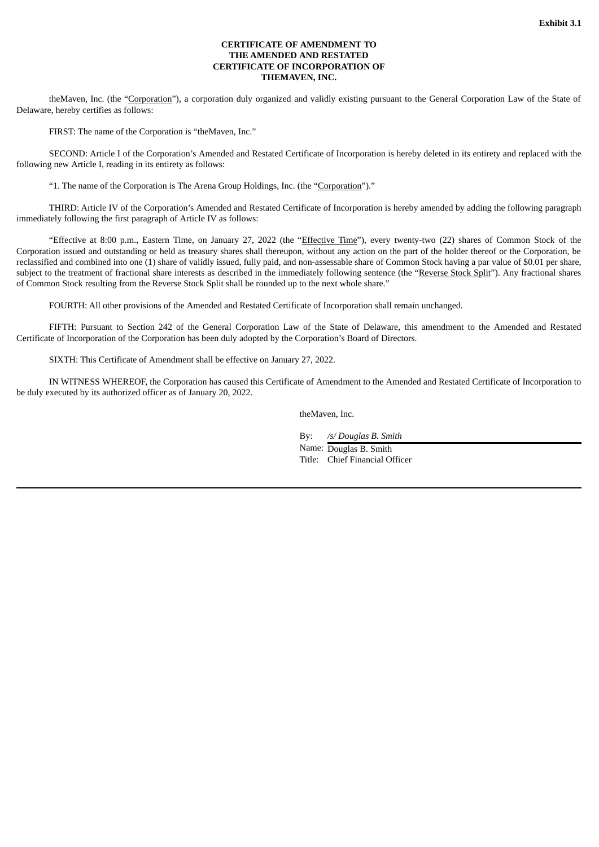### **CERTIFICATE OF AMENDMENT TO THE AMENDED AND RESTATED CERTIFICATE OF INCORPORATION OF THEMAVEN, INC.**

<span id="page-3-0"></span>theMaven, Inc. (the "Corporation"), a corporation duly organized and validly existing pursuant to the General Corporation Law of the State of Delaware, hereby certifies as follows:

FIRST: The name of the Corporation is "theMaven, Inc."

SECOND: Article I of the Corporation's Amended and Restated Certificate of Incorporation is hereby deleted in its entirety and replaced with the following new Article I, reading in its entirety as follows:

"1. The name of the Corporation is The Arena Group Holdings, Inc. (the "Corporation")."

THIRD: Article IV of the Corporation's Amended and Restated Certificate of Incorporation is hereby amended by adding the following paragraph immediately following the first paragraph of Article IV as follows:

"Effective at 8:00 p.m., Eastern Time, on January 27, 2022 (the "Effective Time"), every twenty-two (22) shares of Common Stock of the Corporation issued and outstanding or held as treasury shares shall thereupon, without any action on the part of the holder thereof or the Corporation, be reclassified and combined into one (1) share of validly issued, fully paid, and non-assessable share of Common Stock having a par value of \$0.01 per share, subject to the treatment of fractional share interests as described in the immediately following sentence (the "Reverse Stock Split"). Any fractional shares of Common Stock resulting from the Reverse Stock Split shall be rounded up to the next whole share."

FOURTH: All other provisions of the Amended and Restated Certificate of Incorporation shall remain unchanged.

FIFTH: Pursuant to Section 242 of the General Corporation Law of the State of Delaware, this amendment to the Amended and Restated Certificate of Incorporation of the Corporation has been duly adopted by the Corporation's Board of Directors.

SIXTH: This Certificate of Amendment shall be effective on January 27, 2022.

IN WITNESS WHEREOF, the Corporation has caused this Certificate of Amendment to the Amended and Restated Certificate of Incorporation to be duly executed by its authorized officer as of January 20, 2022.

theMaven, Inc.

By: */s/ Douglas B. Smith*

Name: Douglas B. Smith Title: Chief Financial Officer